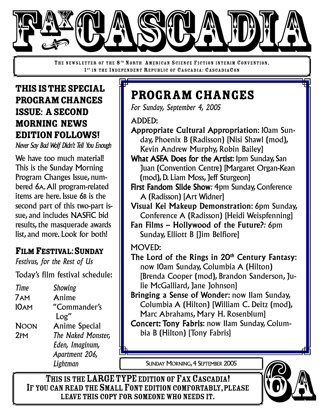

THE NEWSLETTER OF THE 8<sup>TH</sup> NORTH AMERICAN SCIENCE FICTION INTERIM CONVENTION, 1<sup>ST</sup> IN THE INDEPENDENT REPUBLIC OF CASCADIA: CASCADIACON

## THISISTHESPECIAL PROGRAM CHANGES ISSUE: ASECOND MORNING NEWS EDITIONFOLLOWS!

*Never Say Bad Wolf Didn't Tell You Enough*

We have too much material! This is the Sunday Morning Program Changes Issue, numbered 6A.All program-related items are here. Issue 6B is the second part of this two-part issue, and includes NASFiC bid results, the masquerade awards list, and more. Look for both!

### FILM FESTIVAL:SUNDAY

*Festivus, for the Rest of Us*

Today's film festival schedule:

*Time Showing* 7AM Anime 10AM "Commander's Log" NOON Anime Special 2PM *The Naked Monster, Eden, Imaginum, Apartment 206, Lightman*

# Program Changes

*For Sunday, September 4, 2005*

ADDED:

- Appropriate Cultural Appropriation: 10am Sunday, Phoenix B (Radisson) [Nisi Shawl (mod), Kevin Andrew Murphy, Robin Bailey]
- What ASFA Does for the Artist: Ipm Sunday, San Juan (Convention Centre) [Margaret Organ-Kean (mod), D. Liam Moss, Jeff Sturgeon]
- First Fandom Slide Show*:* 4pm Sunday, Conference A (Radisson) [Art Widner]
- Visual Kei Makeup Demonstration: 6pm Sunday, Conference A (Radisson) [Heidi Weispfenning]
- Fan Films Hollywood of the Future?*:* 6pm Sunday, Elliott B [Jim Belfiore]
- MOVED:
- The Lord of the Rings in 20<sup>th</sup> Century Fantasy: now 10am Sunday, Columbia A (Hilton) [Brenda Cooper (mod), Brandon Sanderson, Julie McGalliard, Jane Johnson]
- Bringing a Sense of Wonder: now 11am Sunday, Columbia A (Hilton) [William C. Deitz (mod), Marc Abrahams, Mary H. Rosenblum]
- Concert: Tony Fabris: now 11am Sunday, Columbia B (Hilton) [Tony Fabris]

SUNDAY MORNING, 4 SEPTEMBER 2005

THIS IS THE LARGE TYPE EDITION OF FAX CASCADIA! IF YOU CAN READ THE SMALL FONT EDITION COMFORTABLY, PLEASE LEAVE THIS COPY FOR SOMEONE WHO NEEDS IT.

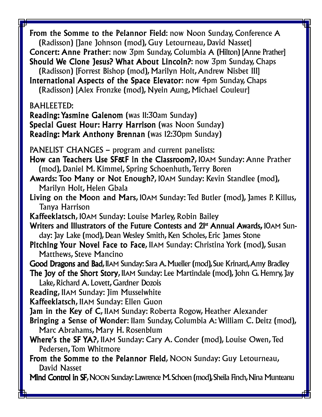From the Somme to the Pelannor Field: now Noon Sunday, Conference A (Radisson) [Jane Johnson (mod), Guy Letourneau, David Nasset] Concert: Anne Prather: now 3pm Sunday, Columbia A (Hilton) [Anne Prather] Should We Clone Jesus? What About Lincoln?: now 3pm Sunday, Chaps (Radisson) [Forrest Bishop (mod), Marilyn Holt,Andrew Nisbet III] International Aspects of the Space Elevator: now 4pm Sunday, Chaps (Radisson) [Alex Fronzke (mod), Nyein Aung, Michael Couleur] BAHLEETED: Reading: Yasmine Galenom (was 11:30am Sunday) Special Guest Hour: Harry Harrison (was Noon Sunday) Reading: Mark Anthony Brennan (was 12:30pm Sunday) PANELIST CHANGES – program and current panelists: How can Teachers Use SF&F in the Classroom?, 10AM Sunday: Anne Prather (mod), Daniel M. Kimmel, Spring Schoenhuth, Terry Boren Awards: Too Many or Not Enough?, 10AM Sunday: Kevin Standlee (mod), Marilyn Holt, Helen Gbala Living on the Moon and Mars, 10AM Sunday: Ted Butler (mod), James P. Killus, Tanya Harrison Kaffeeklatsch, 10AM Sunday: Louise Marley, Robin Bailey Writers and Illustrators of the Future Contests and 21<sup>st</sup> Annual Awards, 10AM Sunday: Jay Lake (mod), Dean Wesley Smith, Ken Scholes, Eric James Stone Pitching Your Novel Face to Face, 11AM Sunday: Christina York (mod), Susan Matthews, Steve Mancino Good Dragons and Bad, 11AM Sunday: Sara A. Mueller (mod), Sue Krinard, Amy Bradley The Joy of the Short Story, IIAM Sunday: Lee Martindale (mod), John G. Hemry, Jay Lake, Richard A. Lovett, Gardner Dozois Reading, 11AM Sunday: Jim Musselwhite Kaffeeklatsch, 11AM Sunday: Ellen Guon Jam in the Key of C, 11AM Sunday: Roberta Rogow, Heather Alexander Bringing a Sense of Wonder: 11am Sunday, Columbia A: William C. Deitz (mod), Marc Abrahams, Mary H. Rosenblum Where's the SF YA?, 11AM Sunday: Cary A. Conder (mod), Louise Owen,Ted Pedersen, Tom Whitmore From the Somme to the Pelannor Field, NOON Sunday: Guy Letourneau, David Nasset Mind Control in SF, NOON Sunday: Lawrence M. Schoen (mod), Sheila Finch, Nina Munteanu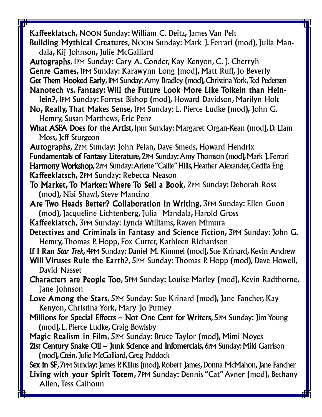Kaffeeklatsch, NOON Sunday: William C. Deitz, James Van Pelt

- Building Mythical Creatures, NOON Sunday: Mark J. Ferrari (mod), Julia Mandala, Kij Johnson, Julie McGalliard
- Autographs, 1PM Sunday: Cary A. Conder, Kay Kenyon, C. J. Cherryh

Genre Games, 1PM Sunday: Karawynn Long (mod), Matt Ruff, Jo Beverly

Get Them Hooked Early, IPM Sunday: Amy Bradley (mod), Christina York, Ted Pedersen

- Nanotech vs. Fantasy: Will the Future Look More Like Tolkein than Heinlein?, 1PM Sunday: Forrest Bishop (mod), Howard Davidson, Marilyn Holt
- No, Really, That Makes Sense, 1PM Sunday: L. Pierce Ludke (mod), John G. Hemry, Susan Matthews, Eric Penz
- What ASFA Does for the Artist, 1pm Sunday: Margaret Organ-Kean (mod), D. Liam Moss, Jeff Sturgeon

Autographs, 2PM Sunday: John Pelan, Dave Smeds, Howard Hendrix Fundamentals of Fantasy Literature, 2PM Sunday: Amy Thomson (mod), Mark J. Ferrari Harmony Workshop, 2PM Sunday: Arlene "Callie" Hills, Heather Alexander, Cecilia Eng Kaffeeklatsch, 2PM Sunday: Rebecca Neason

- To Market, To Market: Where To Sell a Book, 2PM Sunday: Deborah Ross (mod), Nisi Shawl, Steve Mancino
- Are Two Heads Better? Collaboration in Writing, 3PM Sunday: Ellen Guon (mod), Jacqueline Lichtenberg, Julia Mandala, Harold Gross
- Kaffeeklatsch, 3PM Sunday: Lynda Williams, Raven Mimura
- Detectives and Criminals in Fantasy and Science Fiction, 3PM Sunday: John G. Hemry,Thomas P. Hopp, Fox Cutter, Kathleen Richardson

If I Ran *Star Trek*, 4PM Sunday: Daniel M. Kimmel (mod), Sue Krinard, Kevin Andrew

- Will Viruses Rule the Earth?, 5PM Sunday: Thomas P. Hopp (mod), Dave Howell, David Nasset
- Characters are People Too, 5PM Sunday: Louise Marley (mod), Kevin Radthorne, Jane Johnson
- Love Among the Stars, 5PM Sunday: Sue Krinard (mod), Jane Fancher, Kay Kenyon, Christina York, Mary Jo Putney
- Millions for Special Effects Not One Cent for Writers, 5PM Sunday: Jim Young (mod), L. Pierce Ludke, Craig Bowlsby

Magic Realism in Film, 5PM Sunday: Bruce Taylor (mod), Mimi Noyes

21st Century Snake Oil – Junk Science and Infomercials, 6PM Sunday: Miki Garrison (mod),Ctein,Julie McGalliard,Greg Paddock

**Sex in SF, 7PM Sunday: James P. Killus (mod), Robert James, Donna McMahon, Jane Fancher** Living with your Spirit Totem, 7PM Sunday: Dennis "Cat"Avner (mod), Bethany Allen, Tess Calhoun